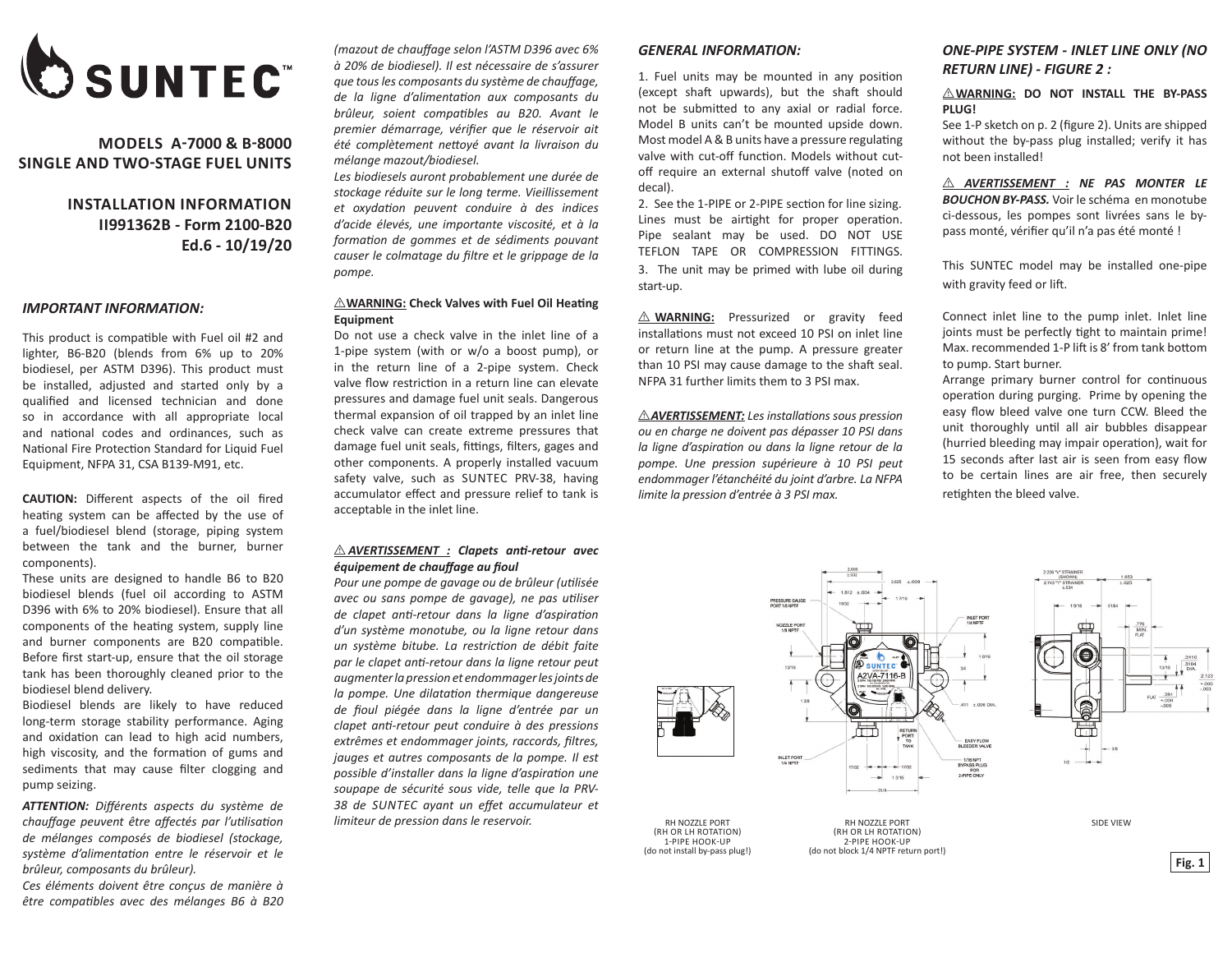

## **MODELS A-7000 & B-8000 SINGLE AND TWO-STAGE FUEL UNITS**

# **INSTALLATION INFORMATION II991362B - Form 2100-B20 Ed.6 - 10/19/20**

#### *IMPORTANT INFORMATION:*

This product is compatible with Fuel oil #2 and lighter, B6-B20 (blends from 6% up to 20% biodiesel, per ASTM D396). This product must be installed, adjusted and started only by a qualified and licensed technician and done so in accordance with all appropriate local and national codes and ordinances, such as National Fire Protection Standard for Liquid Fuel Equipment, NFPA 31, CSA B139-M91, etc.

**CAUTION:** Different aspects of the oil fired heating system can be affected by the use of a fuel/biodiesel blend (storage, piping system between the tank and the burner, burner components).

These units are designed to handle B6 to B20 biodiesel blends (fuel oil according to ASTM D396 with 6% to 20% biodiesel). Ensure that all components of the heating system, supply line and burner components are B20 compatible. Before first start-up, ensure that the oil storage tank has been thoroughly cleaned prior to the biodiesel blend delivery.

Biodiesel blends are likely to have reduced long-term storage stability performance. Aging and oxidation can lead to high acid numbers, high viscosity, and the formation of gums and sediments that may cause filter clogging and pump seizing.

*ATTENTION: Différents aspects du système de chauffage peuvent être affectés par l'utilisation de mélanges composés de biodiesel (stockage, système d'alimentation entre le réservoir et le brûleur, composants du brûleur).*

*Ces éléments doivent être conçus de manière à être compatibles avec des mélanges B6 à B20*  *(mazout de chauffage selon l'ASTM D396 avec 6% à 20% de biodiesel). Il est nécessaire de s'assurer que tous les composants du système de chauffage, de la ligne d'alimentation aux composants du brûleur, soient compatibles au B20. Avant le premier démarrage, vérifier que le réservoir ait été complètement nettoyé avant la livraison du mélange mazout/biodiesel.*

*Les biodiesels auront probablement une durée de stockage réduite sur le long terme. Vieillissement et oxydation peuvent conduire à des indices d'acide élevés, une importante viscosité, et à la formation de gommes et de sédiments pouvant causer le colmatage du filtre et le grippage de la pompe.*

#### **MARNING: Check Valves with Fuel Oil Heating Equipment**

Do not use a check valve in the inlet line of a 1-pipe system (with or w/o a boost pump), or in the return line of a 2-pipe system. Check valve flow restriction in a return line can elevate pressures and damage fuel unit seals. Dangerous thermal expansion of oil trapped by an inlet line check valve can create extreme pressures that damage fuel unit seals, fittings, filters, gages and other components. A properly installed vacuum safety valve, such as SUNTEC PRV-38, having accumulator effect and pressure relief to tank is acceptable in the inlet line.

#### I *AVERTISSEMENT : Clapets anti-retour avec équipement de chauffage au fioul*

*Pour une pompe de gavage ou de brûleur (utilisée avec ou sans pompe de gavage), ne pas utiliser de clapet anti-retour dans la ligne d'aspiration d'un système monotube, ou la ligne retour dans un système bitube. La restriction de débit faite par le clapet anti-retour dans la ligne retour peut augmenter la pression et endommager les joints de la pompe. Une dilatation thermique dangereuse de fioul piégée dans la ligne d'entrée par un clapet anti-retour peut conduire à des pressions extrêmes et endommager joints, raccords, filtres, jauges et autres composants de la pompe. Il est possible d'installer dans la ligne d'aspiration une soupape de sécurité sous vide, telle que la PRV-38 de SUNTEC ayant un effet accumulateur et limiteur de pression dans le reservoir.*

#### *GENERAL INFORMATION:*

1. Fuel units may be mounted in any position (except shaft upwards), but the shaft should not be submitted to any axial or radial force. Model B units can't be mounted upside down. Most model A & B units have a pressure regulating valve with cut-off function. Models without cutoff require an external shutoff valve (noted on decal).

2. See the 1-PIPE or 2-PIPE section for line sizing. Lines must be airtight for proper operation. Pipe sealant may be used. DO NOT USE TEFLON TAPE OR COMPRESSION FITTINGS. 3. The unit may be primed with lube oil during start-up.

 $\triangle$  **WARNING:** Pressurized or gravity feed installations must not exceed 10 PSI on inlet line or return line at the pump. A pressure greater than 10 PSI may cause damage to the shaft seal. NFPA 31 further limits them to 3 PSI max.

I *AVERTISSEMENT: Les installations sous pression ou en charge ne doivent pas dépasser 10 PSI dans la ligne d'aspiration ou dans la ligne retour de la pompe. Une pression supérieure à 10 PSI peut endommager l'étanchéité du joint d'arbre. La NFPA limite la pression d'entrée à 3 PSI max.*

### *ONE-PIPE SYSTEM - INLET LINE ONLY (NO RETURN LINE) - FIGURE 2 :*

#### $\triangle$ WARNING: DO NOT INSTALL THE BY-PASS **PLUG!**

See 1-P sketch on p. 2 (figure 2). Units are shipped without the by-pass plug installed; verify it has not been installed!

I *AVERTISSEMENT : NE PAS MONTER LE BOUCHON BY-PASS.* Voir le schéma en monotube ci-dessous, les pompes sont livrées sans le bypass monté, vérifier qu'il n'a pas été monté !

This SUNTEC model may be installed one-pipe with gravity feed or lift.

Connect inlet line to the pump inlet. Inlet line joints must be perfectly tight to maintain prime! Max. recommended 1-P lift is 8' from tank bottom to pump. Start burner.

Arrange primary burner control for continuous operation during purging. Prime by opening the easy flow bleed valve one turn CCW. Bleed the unit thoroughly until all air bubbles disappear (hurried bleeding may impair operation), wait for 15 seconds after last air is seen from easy flow to be certain lines are air free, then securely retighten the bleed valve.

INLET PORT<br>1/4 NPTF

- EASY FLOW<br>BLEEDER VALVE





RH NOZZLE PORT (RH OR LH ROTATION)<br>2-PIPE HOOK-UP  $2^{2}$  PIPE HOOK  $3/4$  NPTF return port!)

÷. 13/16

 $\bullet$ íó A2VA-7116-B

RETUR<br>PORT<br>TO<br>TANK

届



SIDE VIEW